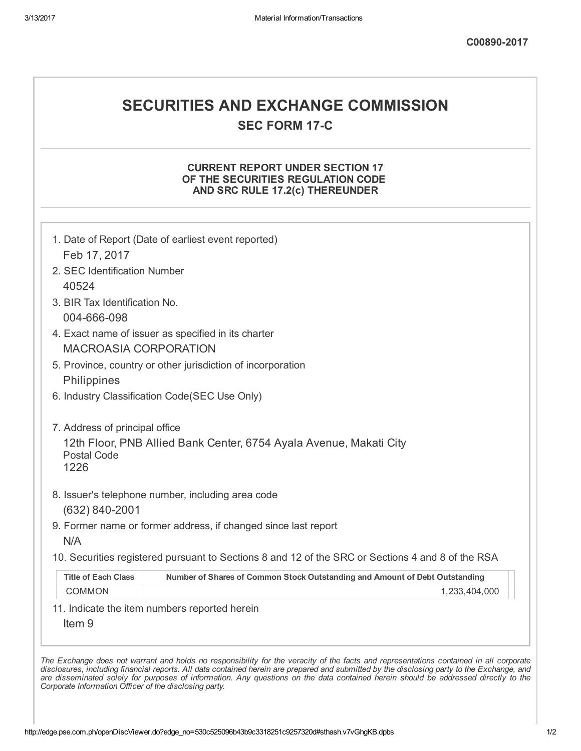# SECURITIES AND EXCHANGE COMMISSION

**SEC FORM 17-C** 

### CURRENT REPORT UNDER SECTION 17 OF THE SECURITIES REGULATION CODE AND SRC RULE 17.2(c) THEREUNDER

|                               | 1. Date of Report (Date of earliest event reported)                                               |
|-------------------------------|---------------------------------------------------------------------------------------------------|
| Feb 17, 2017                  |                                                                                                   |
| 2. SEC Identification Number  |                                                                                                   |
| 40524                         |                                                                                                   |
| 3. BIR Tax Identification No. |                                                                                                   |
| 004-666-098                   |                                                                                                   |
|                               | 4. Exact name of issuer as specified in its charter                                               |
| <b>MACROASIA CORPORATION</b>  |                                                                                                   |
|                               | 5. Province, country or other jurisdiction of incorporation                                       |
| Philippines                   |                                                                                                   |
|                               | 6. Industry Classification Code(SEC Use Only)                                                     |
| <b>Postal Code</b><br>1226    | 12th Floor, PNB Allied Bank Center, 6754 Ayala Avenue, Makati City                                |
|                               | 8. Issuer's telephone number, including area code                                                 |
| $(632) 840 - 2001$            |                                                                                                   |
| N/A                           | 9. Former name or former address, if changed since last report                                    |
|                               | 10. Securities registered pursuant to Sections 8 and 12 of the SRC or Sections 4 and 8 of the RSA |
| <b>Title of Each Class</b>    | Number of Shares of Common Stock Outstanding and Amount of Debt Outstanding                       |
| <b>COMMON</b>                 | 1,233,404,000                                                                                     |
| Item <sub>9</sub>             | 11. Indicate the item numbers reported herein                                                     |

The Exchange does not warrant and holds no responsibility for the veracity of the facts and representations contained in all corporate disclosures, including financial reports. All data contained herein are prepared and submitted by the disclosing party to the Exchange, and are disseminated solely for purposes of information. Any questions on the data contained herein should be addressed directly to the Corporate Information Officer of the disclosing party.